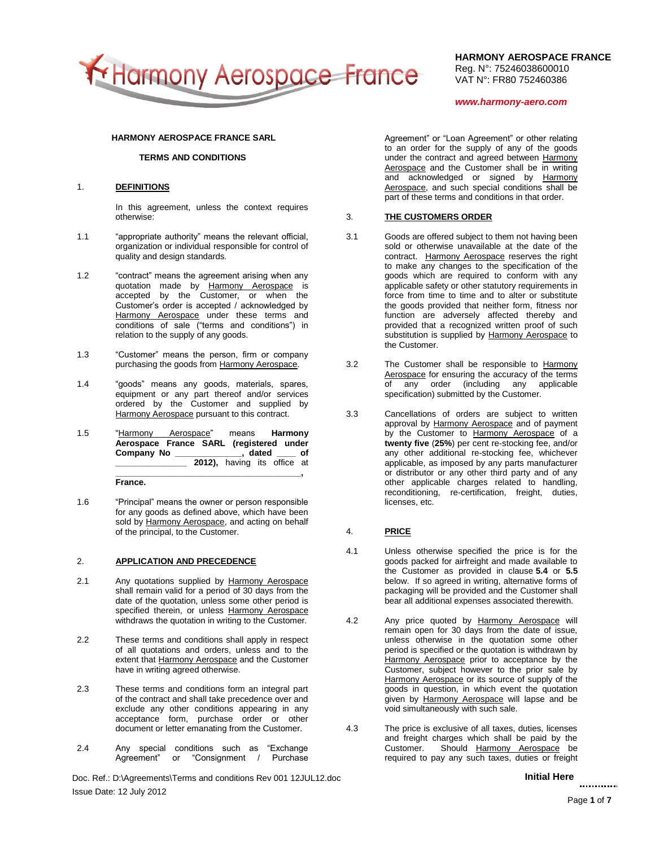

**HARMONY AEROSPACE FRANCE** Reg. N°: 75246038600010 VAT N°: FR80 752460386

*www.harmony-aero.com*

### **HARMONY AEROSPACE FRANCE SARL**

## **TERMS AND CONDITIONS**

### 1. **DEFINITIONS**

In this agreement, unless the context requires otherwise:

- 1.1 "appropriate authority" means the relevant official, organization or individual responsible for control of quality and design standards.
- 1.2 "contract" means the agreement arising when any quotation made by Harmony Aerospace is accepted by the Customer, or when the Customer's order is accepted / acknowledged by Harmony Aerospace under these terms and conditions of sale ("terms and conditions") in relation to the supply of any goods.
- 1.3 "Customer" means the person, firm or company purchasing the goods from Harmony Aerospace.
- 1.4 "goods" means any goods, materials, spares, equipment or any part thereof and/or services ordered by the Customer and supplied by Harmony Aerospace pursuant to this contract.
- 1.5 "Harmony Aerospace" means **Harmony Aerospace France SARL (registered under Company No \_\_\_\_\_\_\_\_\_\_\_\_\_\_, dated \_\_\_\_ of \_\_\_\_\_\_\_\_\_\_\_\_\_\_\_ 2012),** having its office at **\_\_\_\_\_\_\_\_\_\_\_\_\_\_\_\_\_\_\_\_\_\_\_\_\_\_\_\_\_\_\_\_\_\_\_\_\_\_\_,**

**France.**

1.6 "Principal" means the owner or person responsible for any goods as defined above, which have been sold by Harmony Aerospace, and acting on behalf of the principal, to the Customer.

### 2. **APPLICATION AND PRECEDENCE**

- 2.1 Any quotations supplied by Harmony Aerospace shall remain valid for a period of 30 days from the date of the quotation, unless some other period is specified therein, or unless Harmony Aerospace withdraws the quotation in writing to the Customer.
- 2.2 These terms and conditions shall apply in respect of all quotations and orders, unless and to the extent that Harmony Aerospace and the Customer have in writing agreed otherwise.
- 2.3 These terms and conditions form an integral part of the contract and shall take precedence over and exclude any other conditions appearing in any acceptance form, purchase order or other document or letter emanating from the Customer.
- 2.4 Any special conditions such as "Exchange Agreement" or "Consignment / Purchase

Doc. Ref.: D:\Agreements\Terms and conditions Rev 001 12JUL12.doc **Initial Here** Initial Here Issue Date: 12 July 2012

Agreement" or "Loan Agreement" or other relating to an order for the supply of any of the goods under the contract and agreed between Harmony Aerospace and the Customer shall be in writing and acknowledged or signed by Harmony Aerospace, and such special conditions shall be part of these terms and conditions in that order.

### 3. **THE CUSTOMERS ORDER**

- 3.1 Goods are offered subject to them not having been sold or otherwise unavailable at the date of the contract. Harmony Aerospace reserves the right to make any changes to the specification of the goods which are required to conform with any applicable safety or other statutory requirements in force from time to time and to alter or substitute the goods provided that neither form, fitness nor function are adversely affected thereby and provided that a recognized written proof of such substitution is supplied by Harmony Aerospace to the Customer.
- 3.2 The Customer shall be responsible to Harmony Aerospace for ensuring the accuracy of the terms of any order (including any applicable specification) submitted by the Customer.
- 3.3 Cancellations of orders are subject to written approval by Harmony Aerospace and of payment by the Customer to Harmony Aerospace of a **twenty five** (**25%**) per cent re-stocking fee, and/or any other additional re-stocking fee, whichever applicable, as imposed by any parts manufacturer or distributor or any other third party and of any other applicable charges related to handling, reconditioning, re-certification, freight, duties, licenses, etc.

### 4. **PRICE**

- 4.1 Unless otherwise specified the price is for the goods packed for airfreight and made available to the Customer as provided in clause **5.4** or **5.5** below. If so agreed in writing, alternative forms of packaging will be provided and the Customer shall bear all additional expenses associated therewith.
- 4.2 Any price quoted by Harmony Aerospace will remain open for 30 days from the date of issue, unless otherwise in the quotation some other period is specified or the quotation is withdrawn by Harmony Aerospace prior to acceptance by the Customer, subject however to the prior sale by Harmony Aerospace or its source of supply of the goods in question, in which event the quotation given by Harmony Aerospace will lapse and be void simultaneously with such sale.
- 4.3 The price is exclusive of all taxes, duties, licenses and freight charges which shall be paid by the Customer. Should Harmony Aerospace be required to pay any such taxes, duties or freight

............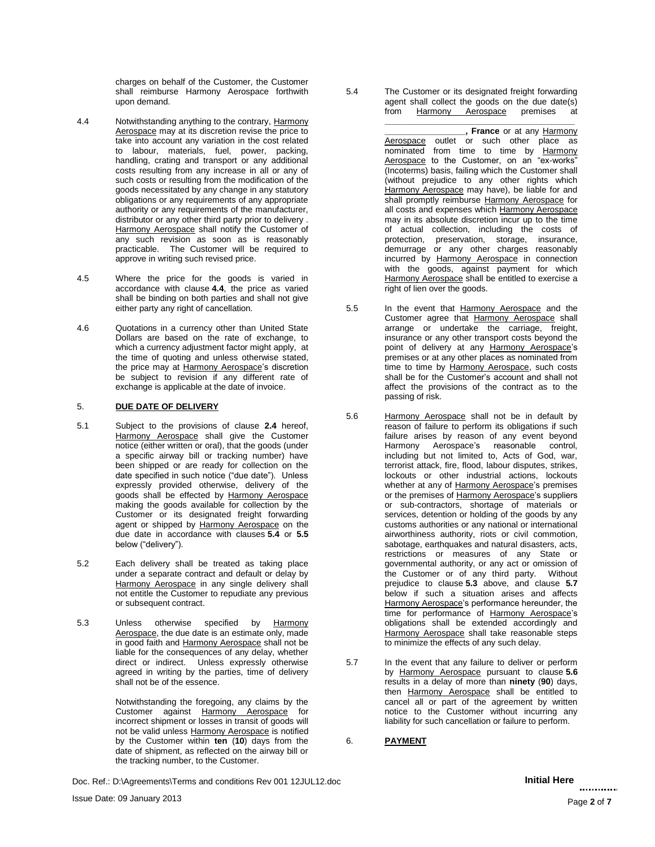charges on behalf of the Customer, the Customer shall reimburse Harmony Aerospace forthwith upon demand.

- 4.4 Notwithstanding anything to the contrary, Harmony Aerospace may at its discretion revise the price to take into account any variation in the cost related to labour, materials, fuel, power, packing, handling, crating and transport or any additional costs resulting from any increase in all or any of such costs or resulting from the modification of the goods necessitated by any change in any statutory obligations or any requirements of any appropriate authority or any requirements of the manufacturer, distributor or any other third party prior to delivery . Harmony Aerospace shall notify the Customer of any such revision as soon as is reasonably practicable. The Customer will be required to approve in writing such revised price.
- 4.5 Where the price for the goods is varied in accordance with clause **4.4**, the price as varied shall be binding on both parties and shall not give either party any right of cancellation.
- 4.6 Quotations in a currency other than United State Dollars are based on the rate of exchange, to which a currency adjustment factor might apply, at the time of quoting and unless otherwise stated, the price may at Harmony Aerospace's discretion be subject to revision if any different rate of exchange is applicable at the date of invoice.

## 5. **DUE DATE OF DELIVERY**

- 5.1 Subject to the provisions of clause **2.4** hereof, Harmony Aerospace shall give the Customer notice (either written or oral), that the goods (under a specific airway bill or tracking number) have been shipped or are ready for collection on the date specified in such notice ("due date"). Unless expressly provided otherwise, delivery of the goods shall be effected by Harmony Aerospace making the goods available for collection by the Customer or its designated freight forwarding agent or shipped by Harmony Aerospace on the due date in accordance with clauses **5.4** or **5.5** below ("delivery").
- 5.2 Each delivery shall be treated as taking place under a separate contract and default or delay by Harmony Aerospace in any single delivery shall not entitle the Customer to repudiate any previous or subsequent contract.
- 5.3 Unless otherwise specified by Harmony Aerospace, the due date is an estimate only, made in good faith and Harmony Aerospace shall not be liable for the consequences of any delay, whether direct or indirect. Unless expressly otherwise agreed in writing by the parties, time of delivery shall not be of the essence.

Notwithstanding the foregoing, any claims by the Customer against Harmony Aerospace for incorrect shipment or losses in transit of goods will not be valid unless Harmony Aerospace is notified by the Customer within **ten** (**10**) days from the date of shipment, as reflected on the airway bill or the tracking number, to the Customer.

Doc. Ref.: D:\Agreements\Terms and conditions Rev 001 12JUL12.doc **Initial Here Initial Here** 

- 5.4 The Customer or its designated freight forwarding agent shall collect the goods on the due date(s) from Harmony Aerospace premises at **\_\_\_\_\_\_\_\_\_\_\_\_\_\_\_\_\_\_\_\_\_\_\_\_\_\_\_\_\_\_\_\_\_\_\_\_\_\_\_\_**
	- **\_\_\_\_\_\_\_\_\_\_\_\_\_\_\_\_\_, France** or at any Harmony Aerospace outlet or such other place as nominated from time to time by Harmony Aerospace to the Customer, on an "ex-works" (Incoterms) basis, failing which the Customer shall (without prejudice to any other rights which Harmony Aerospace may have), be liable for and shall promptly reimburse Harmony Aerospace for all costs and expenses which Harmony Aerospace may in its absolute discretion incur up to the time of actual collection, including the costs of protection, preservation, storage, insurance, demurrage or any other charges reasonably incurred by Harmony Aerospace in connection with the goods, against payment for which Harmony Aerospace shall be entitled to exercise a right of lien over the goods.
- 5.5 In the event that Harmony Aerospace and the Customer agree that Harmony Aerospace shall arrange or undertake the carriage, freight, insurance or any other transport costs beyond the point of delivery at any Harmony Aerospace's premises or at any other places as nominated from time to time by Harmony Aerospace, such costs shall be for the Customer's account and shall not affect the provisions of the contract as to the passing of risk.
- 5.6 Harmony Aerospace shall not be in default by reason of failure to perform its obligations if such failure arises by reason of any event beyond Harmony Aerospace's reasonable control, including but not limited to, Acts of God, war, terrorist attack, fire, flood, labour disputes, strikes, lockouts or other industrial actions, lockouts whether at any of Harmony Aerospace's premises or the premises of Harmony Aerospace's suppliers or sub-contractors, shortage of materials or services, detention or holding of the goods by any customs authorities or any national or international airworthiness authority, riots or civil commotion. sabotage, earthquakes and natural disasters, acts, restrictions or measures of any State or governmental authority, or any act or omission of the Customer or of any third party. Without prejudice to clause **5.3** above, and clause **5.7** below if such a situation arises and affects Harmony Aerospace's performance hereunder, the time for performance of Harmony Aerospace's obligations shall be extended accordingly and Harmony Aerospace shall take reasonable steps to minimize the effects of any such delay.
- 5.7 In the event that any failure to deliver or perform by Harmony Aerospace pursuant to clause **5.6** results in a delay of more than **ninety** (**90**) days, then Harmony Aerospace shall be entitled to cancel all or part of the agreement by written notice to the Customer without incurring any liability for such cancellation or failure to perform.

6. **PAYMENT**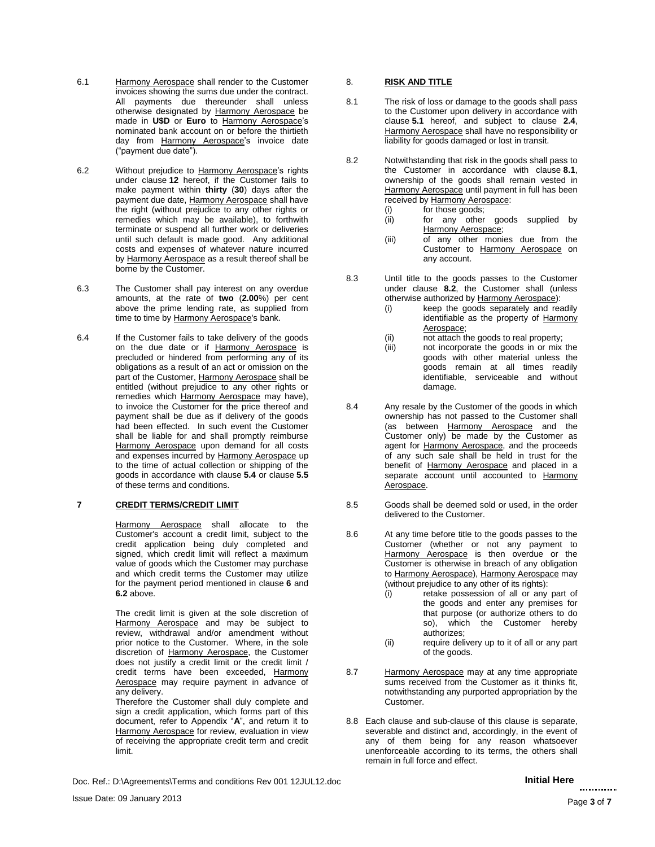- 6.1 Harmony Aerospace shall render to the Customer invoices showing the sums due under the contract. All payments due thereunder shall unless otherwise designated by Harmony Aerospace be made in **U\$D** or **Euro** to Harmony Aerospace's nominated bank account on or before the thirtieth day from Harmony Aerospace's invoice date ("payment due date").
- 6.2 Without prejudice to Harmony Aerospace's rights under clause **12** hereof, if the Customer fails to make payment within **thirty** (**30**) days after the payment due date, Harmony Aerospace shall have the right (without prejudice to any other rights or remedies which may be available), to forthwith terminate or suspend all further work or deliveries until such default is made good. Any additional costs and expenses of whatever nature incurred by Harmony Aerospace as a result thereof shall be borne by the Customer.
- 6.3 The Customer shall pay interest on any overdue amounts, at the rate of **two** (**2.00**%) per cent above the prime lending rate, as supplied from time to time by Harmony Aerospace's bank.
- 6.4 If the Customer fails to take delivery of the goods on the due date or if Harmony Aerospace is precluded or hindered from performing any of its obligations as a result of an act or omission on the part of the Customer, Harmony Aerospace shall be entitled (without prejudice to any other rights or remedies which Harmony Aerospace may have), to invoice the Customer for the price thereof and payment shall be due as if delivery of the goods had been effected. In such event the Customer shall be liable for and shall promptly reimburse Harmony Aerospace upon demand for all costs and expenses incurred by Harmony Aerospace up to the time of actual collection or shipping of the goods in accordance with clause **5.4** or clause **5.5** of these terms and conditions.

### **7 CREDIT TERMS/CREDIT LIMIT**

Harmony Aerospace shall allocate to the Customer's account a credit limit, subject to the credit application being duly completed and signed, which credit limit will reflect a maximum value of goods which the Customer may purchase and which credit terms the Customer may utilize for the payment period mentioned in clause **6** and **6.2** above.

The credit limit is given at the sole discretion of Harmony Aerospace and may be subject to review, withdrawal and/or amendment without prior notice to the Customer. Where, in the sole discretion of Harmony Aerospace, the Customer does not justify a credit limit or the credit limit / credit terms have been exceeded, Harmony Aerospace may require payment in advance of any delivery.

Therefore the Customer shall duly complete and sign a credit application, which forms part of this document, refer to Appendix "**A**", and return it to

Harmony Aerospace for review, evaluation in view of receiving the appropriate credit term and credit limit.

Doc. Ref.: D:\Agreements\Terms and conditions Rev 001 12JUL12.doc **Initial Here** Initial Here

## 8. **RISK AND TITLE**

- 8.1 The risk of loss or damage to the goods shall pass to the Customer upon delivery in accordance with clause **5.1** hereof, and subject to clause **2.4**, Harmony Aerospace shall have no responsibility or liability for goods damaged or lost in transit.
- 8.2 Notwithstanding that risk in the goods shall pass to the Customer in accordance with clause **8.1**, ownership of the goods shall remain vested in Harmony Aerospace until payment in full has been received by Harmony Aerospace:
	- (i) for those goods;<br>(ii) for any other
	- for any other goods supplied by Harmony Aerospace;
	- (iii) of any other monies due from the Customer to Harmony Aerospace on any account.
- 8.3 Until title to the goods passes to the Customer under clause **8.2**, the Customer shall (unless otherwise authorized by Harmony Aerospace):
	- (i) keep the goods separately and readily identifiable as the property of Harmony Aerospace;
	- (ii) not attach the goods to real property;<br>(iii) not incorporate the goods in or mix
	- not incorporate the goods in or mix the goods with other material unless the goods remain at all times readily identifiable, serviceable and without damage.
- 8.4 Any resale by the Customer of the goods in which ownership has not passed to the Customer shall (as between Harmony Aerospace and the Customer only) be made by the Customer as agent for Harmony Aerospace, and the proceeds of any such sale shall be held in trust for the benefit of Harmony Aerospace and placed in a separate account until accounted to Harmony Aerospace.
- 8.5 Goods shall be deemed sold or used, in the order delivered to the Customer.
- 8.6 At any time before title to the goods passes to the Customer (whether or not any payment to Harmony Aerospace is then overdue or the Customer is otherwise in breach of any obligation to Harmony Aerospace), Harmony Aerospace may (without prejudice to any other of its rights):
	- (i) retake possession of all or any part of the goods and enter any premises for that purpose (or authorize others to do so), which the Customer hereby authorizes;
	- (ii) require delivery up to it of all or any part of the goods.
- 8.7 Harmony Aerospace may at any time appropriate sums received from the Customer as it thinks fit, notwithstanding any purported appropriation by the Customer.
- 8.8 Each clause and sub-clause of this clause is separate, severable and distinct and, accordingly, in the event of any of them being for any reason whatsoever unenforceable according to its terms, the others shall remain in full force and effect.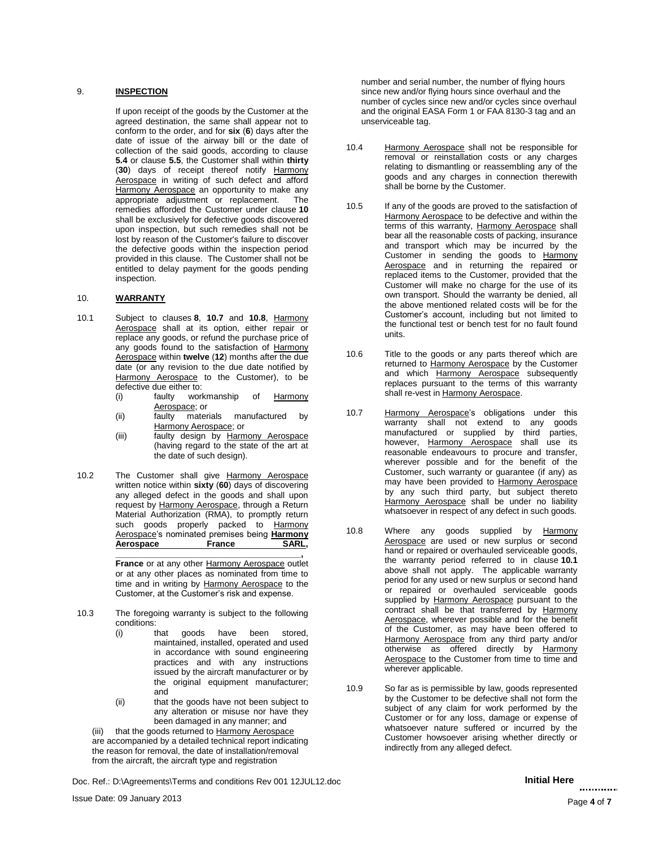### 9. **INSPECTION**

If upon receipt of the goods by the Customer at the agreed destination, the same shall appear not to conform to the order, and for **six** (**6**) days after the date of issue of the airway bill or the date of collection of the said goods, according to clause **5.4** or clause **5.5**, the Customer shall within **thirty** (**30**) days of receipt thereof notify Harmony Aerospace in writing of such defect and afford Harmony Aerospace an opportunity to make any appropriate adjustment or replacement. The remedies afforded the Customer under clause **10** shall be exclusively for defective goods discovered upon inspection, but such remedies shall not be lost by reason of the Customer's failure to discover the defective goods within the inspection period provided in this clause. The Customer shall not be entitled to delay payment for the goods pending inspection.

## 10. **WARRANTY**

- 10.1 Subject to clauses **8**, **10.7** and **10.8**, Harmony Aerospace shall at its option, either repair or replace any goods, or refund the purchase price of any goods found to the satisfaction of Harmony Aerospace within **twelve** (**12**) months after the due date (or any revision to the due date notified by Harmony Aerospace to the Customer), to be defective due either to:<br>(i) faulty workmanship
	- (i) faulty workmanship of Harmony Aerospace; or
	- (ii) faulty materials manufactured by Harmony Aerospace; or
	- (iii) faulty design by Harmony Aerospace (having regard to the state of the art at the date of such design).
- 10.2 The Customer shall give Harmony Aerospace written notice within **sixty** (**60**) days of discovering any alleged defect in the goods and shall upon request by Harmony Aerospace, through a Return Material Authorization (RMA), to promptly return such goods properly packed to Harmony Aerospace's nominated premises being **Harmony Aerospace France SARL,**

**France** or at any other Harmony Aerospace outlet or at any other places as nominated from time to time and in writing by Harmony Aerospace to the Customer, at the Customer's risk and expense.

**\_\_\_\_\_\_\_\_\_\_\_\_\_\_\_\_\_\_\_\_\_\_\_\_\_\_\_\_\_\_\_\_\_\_\_\_\_\_\_,** 

- 10.3 The foregoing warranty is subject to the following conditions:
	- (i) that goods have been stored, maintained, installed, operated and used in accordance with sound engineering practices and with any instructions issued by the aircraft manufacturer or by the original equipment manufacturer; and
	- (ii) that the goods have not been subject to any alteration or misuse nor have they been damaged in any manner; and

(iii) that the goods returned to Harmony Aerospace are accompanied by a detailed technical report indicating the reason for removal, the date of installation/removal from the aircraft, the aircraft type and registration

Doc. Ref.: D:\Agreements\Terms and conditions Rev 001 12JUL12.doc **Initial Here** Initial Here

number and serial number, the number of flying hours since new and/or flying hours since overhaul and the number of cycles since new and/or cycles since overhaul and the original EASA Form 1 or FAA 8130-3 tag and an unserviceable tag.

- 10.4 Harmony Aerospace shall not be responsible for removal or reinstallation costs or any charges relating to dismantling or reassembling any of the goods and any charges in connection therewith shall be borne by the Customer.
- 10.5 If any of the goods are proved to the satisfaction of Harmony Aerospace to be defective and within the terms of this warranty, Harmony Aerospace shall bear all the reasonable costs of packing, insurance and transport which may be incurred by the Customer in sending the goods to Harmony Aerospace and in returning the repaired or replaced items to the Customer, provided that the Customer will make no charge for the use of its own transport. Should the warranty be denied, all the above mentioned related costs will be for the Customer's account, including but not limited to the functional test or bench test for no fault found units.
- 10.6 Title to the goods or any parts thereof which are returned to Harmony Aerospace by the Customer and which Harmony Aerospace subsequently replaces pursuant to the terms of this warranty shall re-vest in Harmony Aerospace.
- 10.7 Harmony Aerospace's obligations under this warranty shall not extend to any goods manufactured or supplied by third parties, however, Harmony Aerospace shall use its reasonable endeavours to procure and transfer, wherever possible and for the benefit of the Customer, such warranty or guarantee (if any) as may have been provided to Harmony Aerospace by any such third party, but subject thereto Harmony Aerospace shall be under no liability whatsoever in respect of any defect in such goods.
- 10.8 Where any goods supplied by Harmony Aerospace are used or new surplus or second hand or repaired or overhauled serviceable goods, the warranty period referred to in clause **10.1** above shall not apply. The applicable warranty period for any used or new surplus or second hand or repaired or overhauled serviceable goods supplied by Harmony Aerospace pursuant to the contract shall be that transferred by Harmony Aerospace, wherever possible and for the benefit of the Customer, as may have been offered to Harmony Aerospace from any third party and/or otherwise as offered directly by Harmony Aerospace to the Customer from time to time and wherever applicable.
- 10.9 So far as is permissible by law, goods represented by the Customer to be defective shall not form the subject of any claim for work performed by the Customer or for any loss, damage or expense of whatsoever nature suffered or incurred by the Customer howsoever arising whether directly or indirectly from any alleged defect.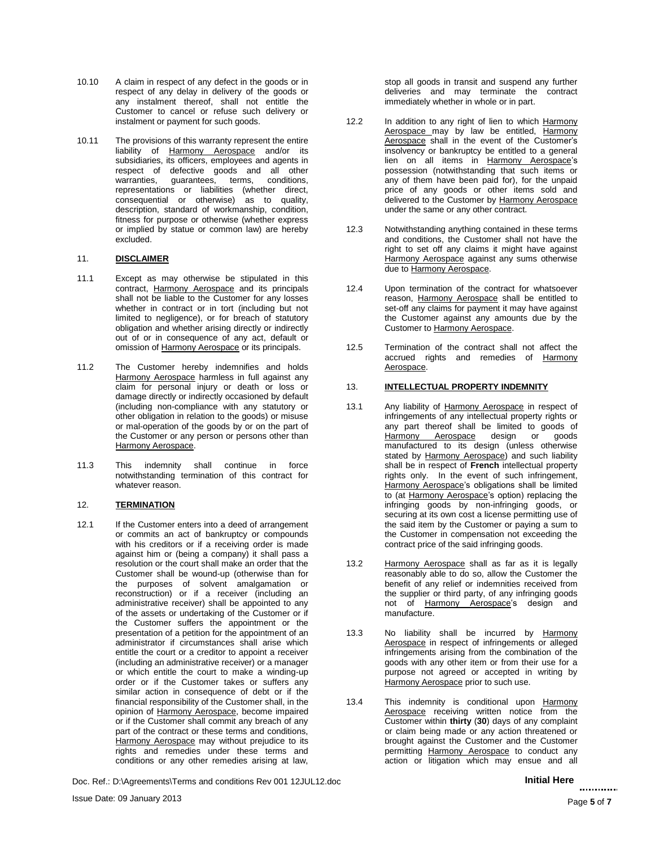- 10.10 A claim in respect of any defect in the goods or in respect of any delay in delivery of the goods or any instalment thereof, shall not entitle the Customer to cancel or refuse such delivery or instalment or payment for such goods.
- 10.11 The provisions of this warranty represent the entire liability of Harmony Aerospace and/or its subsidiaries, its officers, employees and agents in respect of defective goods and all other warranties, guarantees, terms, conditions, representations or liabilities (whether direct, consequential or otherwise) as to quality, description, standard of workmanship, condition, fitness for purpose or otherwise (whether express or implied by statue or common law) are hereby excluded.

## 11. **DISCLAIMER**

- 11.1 Except as may otherwise be stipulated in this contract, Harmony Aerospace and its principals shall not be liable to the Customer for any losses whether in contract or in tort (including but not limited to negligence), or for breach of statutory obligation and whether arising directly or indirectly out of or in consequence of any act, default or omission of Harmony Aerospace or its principals.
- 11.2 The Customer hereby indemnifies and holds Harmony Aerospace harmless in full against any claim for personal injury or death or loss or damage directly or indirectly occasioned by default (including non-compliance with any statutory or other obligation in relation to the goods) or misuse or mal-operation of the goods by or on the part of the Customer or any person or persons other than Harmony Aerospace.
- 11.3 This indemnity shall continue in force notwithstanding termination of this contract for whatever reason.

## 12. **TERMINATION**

12.1 If the Customer enters into a deed of arrangement or commits an act of bankruptcy or compounds with his creditors or if a receiving order is made against him or (being a company) it shall pass a resolution or the court shall make an order that the Customer shall be wound-up (otherwise than for the purposes of solvent amalgamation or reconstruction) or if a receiver (including an administrative receiver) shall be appointed to any of the assets or undertaking of the Customer or if the Customer suffers the appointment or the presentation of a petition for the appointment of an administrator if circumstances shall arise which entitle the court or a creditor to appoint a receiver (including an administrative receiver) or a manager or which entitle the court to make a winding-up order or if the Customer takes or suffers any similar action in consequence of debt or if the financial responsibility of the Customer shall, in the opinion of Harmony Aerospace, become impaired or if the Customer shall commit any breach of any part of the contract or these terms and conditions, Harmony Aerospace may without prejudice to its rights and remedies under these terms and conditions or any other remedies arising at law,

Doc. Ref.: D:\Agreements\Terms and conditions Rev 001 12JUL12.doc **Initial Here** Initial Here

stop all goods in transit and suspend any further deliveries and may terminate the contract immediately whether in whole or in part.

- 12.2 In addition to any right of lien to which Harmony Aerospace may by law be entitled, Harmony Aerospace shall in the event of the Customer's insolvency or bankruptcy be entitled to a general lien on all items in Harmony Aerospace's possession (notwithstanding that such items or any of them have been paid for), for the unpaid price of any goods or other items sold and delivered to the Customer by Harmony Aerospace under the same or any other contract.
- 12.3 Notwithstanding anything contained in these terms and conditions, the Customer shall not have the right to set off any claims it might have against Harmony Aerospace against any sums otherwise due to Harmony Aerospace.
- 12.4 Upon termination of the contract for whatsoever reason, Harmony Aerospace shall be entitled to set-off any claims for payment it may have against the Customer against any amounts due by the Customer to Harmony Aerospace.
- 12.5 Termination of the contract shall not affect the accrued rights and remedies of Harmony Aerospace.

## 13. **INTELLECTUAL PROPERTY INDEMNITY**

- 13.1 Any liability of Harmony Aerospace in respect of infringements of any intellectual property rights or any part thereof shall be limited to goods of Harmony Aerospace manufactured to its design (unless otherwise stated by Harmony Aerospace) and such liability shall be in respect of **French** intellectual property rights only. In the event of such infringement, Harmony Aerospace's obligations shall be limited to (at Harmony Aerospace's option) replacing the infringing goods by non-infringing goods, or securing at its own cost a license permitting use of the said item by the Customer or paying a sum to the Customer in compensation not exceeding the contract price of the said infringing goods.
- 13.2 Harmony Aerospace shall as far as it is legally reasonably able to do so, allow the Customer the benefit of any relief or indemnities received from the supplier or third party, of any infringing goods not of Harmony Aerospace's design and manufacture.
- 13.3 No liability shall be incurred by Harmony Aerospace in respect of infringements or alleged infringements arising from the combination of the goods with any other item or from their use for a purpose not agreed or accepted in writing by Harmony Aerospace prior to such use.
- 13.4 This indemnity is conditional upon Harmony Aerospace receiving written notice from the Customer within **thirty** (**30**) days of any complaint or claim being made or any action threatened or brought against the Customer and the Customer permitting Harmony Aerospace to conduct any action or litigation which may ensue and all

# .............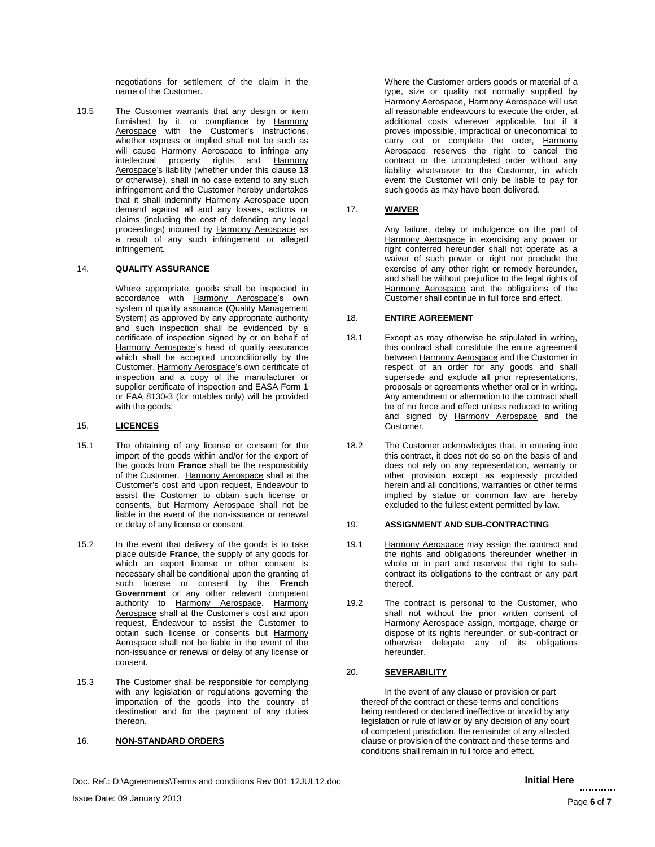negotiations for settlement of the claim in the name of the Customer.

13.5 The Customer warrants that any design or item furnished by it, or compliance by Harmony Aerospace with the Customer's instructions, whether express or implied shall not be such as will cause Harmony Aerospace to infringe any intellectual property rights and Harmony Aerospace's liability (whether under this clause **13** or otherwise), shall in no case extend to any such infringement and the Customer hereby undertakes that it shall indemnify Harmony Aerospace upon demand against all and any losses, actions or claims (including the cost of defending any legal proceedings) incurred by Harmony Aerospace as a result of any such infringement or alleged infringement.

## 14. **QUALITY ASSURANCE**

Where appropriate, goods shall be inspected in accordance with Harmony Aerospace's own system of quality assurance (Quality Management System) as approved by any appropriate authority and such inspection shall be evidenced by a certificate of inspection signed by or on behalf of Harmony Aerospace's head of quality assurance which shall be accepted unconditionally by the Customer. Harmony Aerospace's own certificate of inspection and a copy of the manufacturer or supplier certificate of inspection and EASA Form 1 or FAA 8130-3 (for rotables only) will be provided with the goods.

### 15. **LICENCES**

- 15.1 The obtaining of any license or consent for the import of the goods within and/or for the export of the goods from **France** shall be the responsibility of the Customer. Harmony Aerospace shall at the Customer's cost and upon request, Endeavour to assist the Customer to obtain such license or consents, but Harmony Aerospace shall not be liable in the event of the non-issuance or renewal or delay of any license or consent.
- 15.2 In the event that delivery of the goods is to take place outside **France**, the supply of any goods for which an export license or other consent is necessary shall be conditional upon the granting of such license or consent by the **French** Government or any other relevant competent authority to Harmony Aerospace. Harmony Aerospace shall at the Customer's cost and upon request, Endeavour to assist the Customer to obtain such license or consents but Harmony Aerospace shall not be liable in the event of the non-issuance or renewal or delay of any license or consent.
- 15.3 The Customer shall be responsible for complying with any legislation or regulations governing the importation of the goods into the country of destination and for the payment of any duties thereon.

## 16. **NON-STANDARD ORDERS**

Where the Customer orders goods or material of a type, size or quality not normally supplied by Harmony Aerospace, Harmony Aerospace will use all reasonable endeavours to execute the order, at additional costs wherever applicable, but if it proves impossible, impractical or uneconomical to carry out or complete the order, Harmony Aerospace reserves the right to cancel the contract or the uncompleted order without any liability whatsoever to the Customer, in which event the Customer will only be liable to pay for such goods as may have been delivered.

## 17. **WAIVER**

Any failure, delay or indulgence on the part of Harmony Aerospace in exercising any power or right conferred hereunder shall not operate as a waiver of such power or right nor preclude the exercise of any other right or remedy hereunder, and shall be without prejudice to the legal rights of Harmony Aerospace and the obligations of the Customer shall continue in full force and effect.

## 18. **ENTIRE AGREEMENT**

- 18.1 Except as may otherwise be stipulated in writing, this contract shall constitute the entire agreement between Harmony Aerospace and the Customer in respect of an order for any goods and shall supersede and exclude all prior representations, proposals or agreements whether oral or in writing. Any amendment or alternation to the contract shall be of no force and effect unless reduced to writing and signed by Harmony Aerospace and the Customer.
- 18.2 The Customer acknowledges that, in entering into this contract, it does not do so on the basis of and does not rely on any representation, warranty or other provision except as expressly provided herein and all conditions, warranties or other terms implied by statue or common law are hereby excluded to the fullest extent permitted by law.

## 19. **ASSIGNMENT AND SUB-CONTRACTING**

- 19.1 Harmony Aerospace may assign the contract and the rights and obligations thereunder whether in whole or in part and reserves the right to subcontract its obligations to the contract or any part thereof.
- 19.2 The contract is personal to the Customer, who shall not without the prior written consent of Harmony Aerospace assign, mortgage, charge or dispose of its rights hereunder, or sub-contract or otherwise delegate any of its obligations hereunder.

## 20. **SEVERABILITY**

In the event of any clause or provision or part thereof of the contract or these terms and conditions being rendered or declared ineffective or invalid by any legislation or rule of law or by any decision of any court of competent jurisdiction, the remainder of any affected clause or provision of the contract and these terms and conditions shall remain in full force and effect.